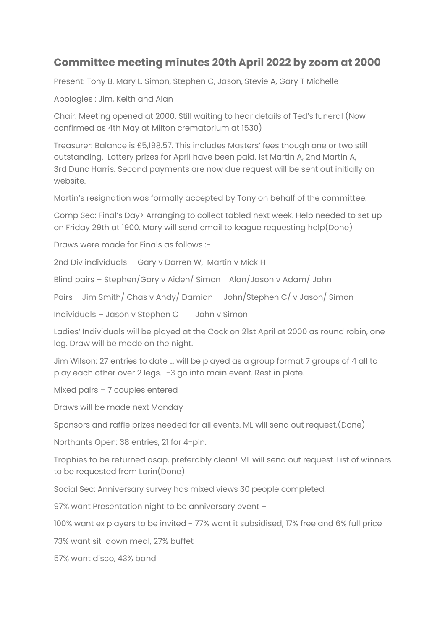## **Committee meeting minutes 20th April 2022 by zoom at 2000**

Present: Tony B, Mary L. Simon, Stephen C, Jason, Stevie A, Gary T Michelle

Apologies : Jim, Keith and Alan

Chair: Meeting opened at 2000. Still waiting to hear details of Ted's funeral (Now confirmed as 4th May at Milton crematorium at 1530)

Treasurer: Balance is £5,198.57. This includes Masters' fees though one or two still outstanding. Lottery prizes for April have been paid. 1st Martin A, 2nd Martin A, 3rd Dunc Harris. Second payments are now due request will be sent out initially on website.

Martin's resignation was formally accepted by Tony on behalf of the committee.

Comp Sec: Final's Day> Arranging to collect tabled next week. Help needed to set up on Friday 29th at 1900. Mary will send email to league requesting help(Done)

Draws were made for Finals as follows :-

2nd Div individuals - Gary v Darren W, Martin v Mick H

Blind pairs – Stephen/Gary v Aiden/ Simon Alan/Jason v Adam/ John

Pairs – Jim Smith/ Chas v Andy/ Damian John/Stephen C/ v Jason/ Simon

Individuals – Jason v Stephen C John v Simon

Ladies' Individuals will be played at the Cock on 21st April at 2000 as round robin, one leg. Draw will be made on the night.

Jim Wilson: 27 entries to date … will be played as a group format 7 groups of 4 all to play each other over 2 legs. 1-3 go into main event. Rest in plate.

Mixed pairs – 7 couples entered

Draws will be made next Monday

Sponsors and raffle prizes needed for all events. ML will send out request.(Done)

Northants Open: 38 entries, 21 for 4-pin.

Trophies to be returned asap, preferably clean! ML will send out request. List of winners to be requested from Lorin(Done)

Social Sec: Anniversary survey has mixed views 30 people completed.

97% want Presentation night to be anniversary event –

100% want ex players to be invited - 77% want it subsidised, 17% free and 6% full price

73% want sit-down meal, 27% buffet

57% want disco, 43% band